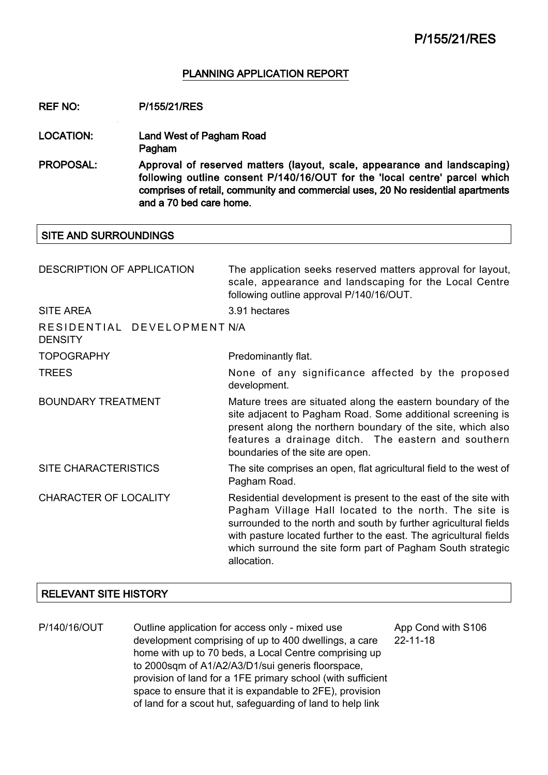### PLANNING APPLICATION REPORT

REF NO: P/155/21/RES

- LOCATION: Land West of Pagham Road Pagham
- PROPOSAL: Approval of reserved matters (layout, scale, appearance and landscaping) following outline consent P/140/16/OUT for the 'local centre' parcel which comprises of retail, community and commercial uses, 20 No residential apartments and a 70 bed care home.

#### SITE AND SURROUNDINGS

| <b>DESCRIPTION OF APPLICATION</b>             | The application seeks reserved matters approval for layout,<br>scale, appearance and landscaping for the Local Centre<br>following outline approval P/140/16/OUT.                                                                                                                                                                               |
|-----------------------------------------------|-------------------------------------------------------------------------------------------------------------------------------------------------------------------------------------------------------------------------------------------------------------------------------------------------------------------------------------------------|
| <b>SITE AREA</b>                              | 3.91 hectares                                                                                                                                                                                                                                                                                                                                   |
| RESIDENTIAL DEVELOPMENT N/A<br><b>DENSITY</b> |                                                                                                                                                                                                                                                                                                                                                 |
| <b>TOPOGRAPHY</b>                             | Predominantly flat.                                                                                                                                                                                                                                                                                                                             |
| <b>TREES</b>                                  | None of any significance affected by the proposed<br>development.                                                                                                                                                                                                                                                                               |
| <b>BOUNDARY TREATMENT</b>                     | Mature trees are situated along the eastern boundary of the<br>site adjacent to Pagham Road. Some additional screening is<br>present along the northern boundary of the site, which also<br>features a drainage ditch. The eastern and southern<br>boundaries of the site are open.                                                             |
| <b>SITE CHARACTERISTICS</b>                   | The site comprises an open, flat agricultural field to the west of<br>Pagham Road.                                                                                                                                                                                                                                                              |
| <b>CHARACTER OF LOCALITY</b>                  | Residential development is present to the east of the site with<br>Pagham Village Hall located to the north. The site is<br>surrounded to the north and south by further agricultural fields<br>with pasture located further to the east. The agricultural fields<br>which surround the site form part of Pagham South strategic<br>allocation. |

#### RELEVANT SITE HISTORY

P/140/16/OUT Outline application for access only - mixed use development comprising of up to 400 dwellings, a care home with up to 70 beds, a Local Centre comprising up to 2000sqm of A1/A2/A3/D1/sui generis floorspace, provision of land for a 1FE primary school (with sufficient space to ensure that it is expandable to 2FE), provision of land for a scout hut, safeguarding of land to help link

App Cond with S106 22-11-18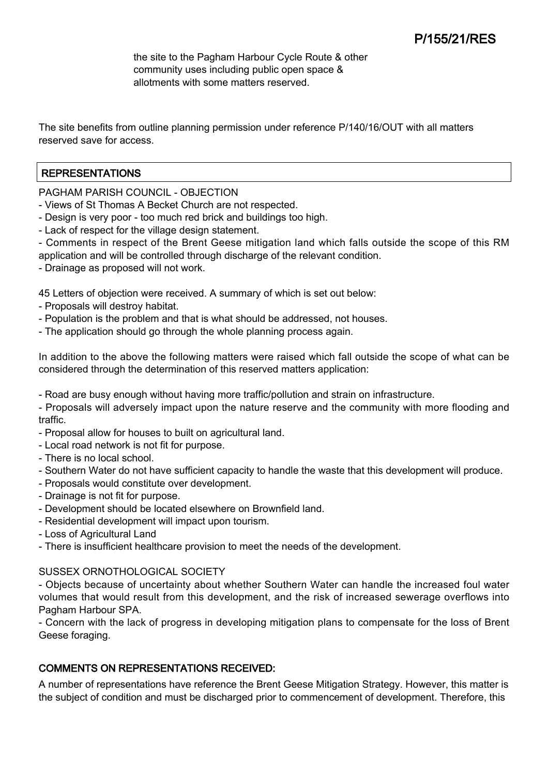the site to the Pagham Harbour Cycle Route & other community uses including public open space & allotments with some matters reserved.

The site benefits from outline planning permission under reference P/140/16/OUT with all matters reserved save for access.

## REPRESENTATIONS

PAGHAM PARISH COUNCIL - OBJECTION

- Views of St Thomas A Becket Church are not respected.

- Design is very poor too much red brick and buildings too high.
- Lack of respect for the village design statement.
- Comments in respect of the Brent Geese mitigation land which falls outside the scope of this RM application and will be controlled through discharge of the relevant condition.
- Drainage as proposed will not work.

45 Letters of objection were received. A summary of which is set out below:

- Proposals will destroy habitat.
- Population is the problem and that is what should be addressed, not houses.
- The application should go through the whole planning process again.

In addition to the above the following matters were raised which fall outside the scope of what can be considered through the determination of this reserved matters application:

- Road are busy enough without having more traffic/pollution and strain on infrastructure.

- Proposals will adversely impact upon the nature reserve and the community with more flooding and traffic.

- Proposal allow for houses to built on agricultural land.
- Local road network is not fit for purpose.
- There is no local school.
- Southern Water do not have sufficient capacity to handle the waste that this development will produce.
- Proposals would constitute over development.
- Drainage is not fit for purpose.
- Development should be located elsewhere on Brownfield land.
- Residential development will impact upon tourism.
- Loss of Agricultural Land
- There is insufficient healthcare provision to meet the needs of the development.

### SUSSEX ORNOTHOLOGICAL SOCIETY

- Objects because of uncertainty about whether Southern Water can handle the increased foul water volumes that would result from this development, and the risk of increased sewerage overflows into Pagham Harbour SPA.

- Concern with the lack of progress in developing mitigation plans to compensate for the loss of Brent Geese foraging.

## COMMENTS ON REPRESENTATIONS RECEIVED:

A number of representations have reference the Brent Geese Mitigation Strategy. However, this matter is the subject of condition and must be discharged prior to commencement of development. Therefore, this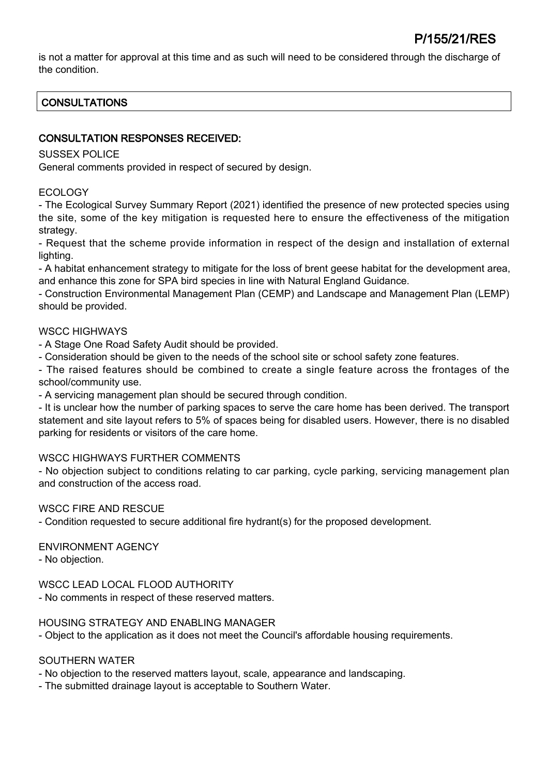is not a matter for approval at this time and as such will need to be considered through the discharge of the condition.

# **CONSULTATIONS**

## CONSULTATION RESPONSES RECEIVED:

### SUSSEX POLICE

General comments provided in respect of secured by design.

## ECOLOGY

- The Ecological Survey Summary Report (2021) identified the presence of new protected species using the site, some of the key mitigation is requested here to ensure the effectiveness of the mitigation strategy.

- Request that the scheme provide information in respect of the design and installation of external lighting.

- A habitat enhancement strategy to mitigate for the loss of brent geese habitat for the development area, and enhance this zone for SPA bird species in line with Natural England Guidance.

- Construction Environmental Management Plan (CEMP) and Landscape and Management Plan (LEMP) should be provided.

### WSCC HIGHWAYS

- A Stage One Road Safety Audit should be provided.

- Consideration should be given to the needs of the school site or school safety zone features.

- The raised features should be combined to create a single feature across the frontages of the school/community use.

- A servicing management plan should be secured through condition.

- It is unclear how the number of parking spaces to serve the care home has been derived. The transport statement and site layout refers to 5% of spaces being for disabled users. However, there is no disabled parking for residents or visitors of the care home.

### WSCC HIGHWAYS FURTHER COMMENTS

- No objection subject to conditions relating to car parking, cycle parking, servicing management plan and construction of the access road.

### WSCC FIRE AND RESCUE

- Condition requested to secure additional fire hydrant(s) for the proposed development.

### ENVIRONMENT AGENCY

- No objection.

WSCC LEAD LOCAL FLOOD AUTHORITY

- No comments in respect of these reserved matters.

### HOUSING STRATEGY AND ENABLING MANAGER

- Object to the application as it does not meet the Council's affordable housing requirements.

### SOUTHERN WATER

- No objection to the reserved matters layout, scale, appearance and landscaping.

- The submitted drainage layout is acceptable to Southern Water.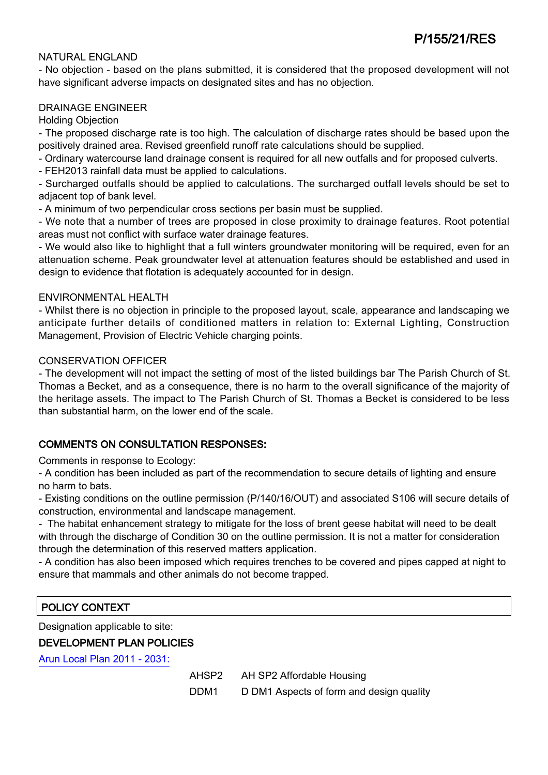### NATURAL ENGLAND

- No objection - based on the plans submitted, it is considered that the proposed development will not have significant adverse impacts on designated sites and has no objection.

### DRAINAGE ENGINEER

Holding Objection

- The proposed discharge rate is too high. The calculation of discharge rates should be based upon the positively drained area. Revised greenfield runoff rate calculations should be supplied.

- Ordinary watercourse land drainage consent is required for all new outfalls and for proposed culverts.

- FEH2013 rainfall data must be applied to calculations.

- Surcharged outfalls should be applied to calculations. The surcharged outfall levels should be set to adjacent top of bank level.

- A minimum of two perpendicular cross sections per basin must be supplied.

- We note that a number of trees are proposed in close proximity to drainage features. Root potential areas must not conflict with surface water drainage features.

- We would also like to highlight that a full winters groundwater monitoring will be required, even for an attenuation scheme. Peak groundwater level at attenuation features should be established and used in design to evidence that flotation is adequately accounted for in design.

#### ENVIRONMENTAL HEALTH

- Whilst there is no objection in principle to the proposed layout, scale, appearance and landscaping we anticipate further details of conditioned matters in relation to: External Lighting, Construction Management, Provision of Electric Vehicle charging points.

#### CONSERVATION OFFICER

- The development will not impact the setting of most of the listed buildings bar The Parish Church of St. Thomas a Becket, and as a consequence, there is no harm to the overall significance of the majority of the heritage assets. The impact to The Parish Church of St. Thomas a Becket is considered to be less than substantial harm, on the lower end of the scale.

## COMMENTS ON CONSULTATION RESPONSES:

Comments in response to Ecology:

- A condition has been included as part of the recommendation to secure details of lighting and ensure no harm to bats.

- Existing conditions on the outline permission (P/140/16/OUT) and associated S106 will secure details of construction, environmental and landscape management.

- The habitat enhancement strategy to mitigate for the loss of brent geese habitat will need to be dealt with through the discharge of Condition 30 on the outline permission. It is not a matter for consideration through the determination of this reserved matters application.

- A condition has also been imposed which requires trenches to be covered and pipes capped at night to ensure that mammals and other animals do not become trapped.

## POLICY CONTEXT

Designation applicable to site:

DEVELOPMENT PLAN POLICIES

[Arun Local Plan 2011 - 2031:](https://www.arun.gov.uk/adopted-local-plan)

AHSP2 AH SP2 Affordable Housing

DDM1 D DM1 Aspects of form and design quality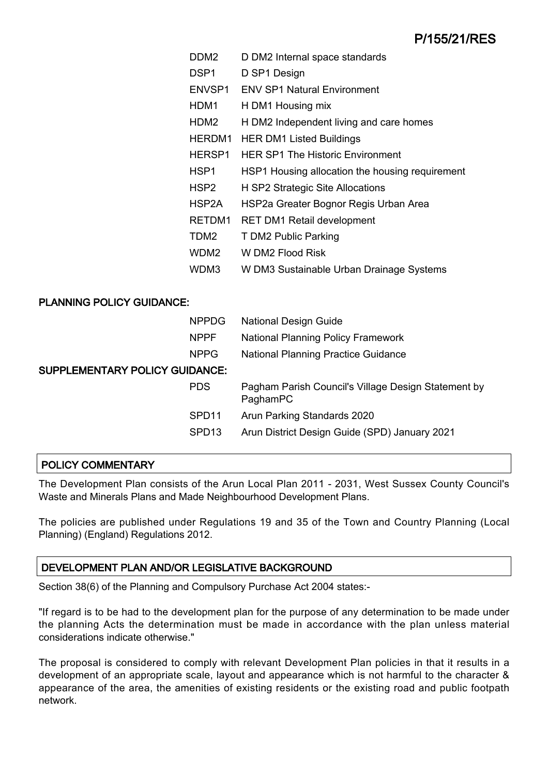| DDM2             | D DM2 Internal space standards                  |
|------------------|-------------------------------------------------|
| DSP <sub>1</sub> | D SP1 Design                                    |
| ENVSP1           | <b>ENV SP1 Natural Environment</b>              |
| HDM1             | H DM1 Housing mix                               |
| HDM2             | H DM2 Independent living and care homes         |
| HERDM1           | <b>HER DM1 Listed Buildings</b>                 |
| HERSP1           | <b>HER SP1 The Historic Environment</b>         |
| HSP1             | HSP1 Housing allocation the housing requirement |
| HSP <sub>2</sub> | H SP2 Strategic Site Allocations                |
| HSP2A            | HSP2a Greater Bognor Regis Urban Area           |
| RETDM1           | <b>RET DM1 Retail development</b>               |
| TDM <sub>2</sub> | T DM2 Public Parking                            |
| WDM <sub>2</sub> | W DM2 Flood Risk                                |
| WDM3             | W DM3 Sustainable Urban Drainage Systems        |

## PLANNING POLICY GUIDANCE:

|                                | <b>NPPDG</b>      | <b>National Design Guide</b>                                    |
|--------------------------------|-------------------|-----------------------------------------------------------------|
|                                | <b>NPPF</b>       | <b>National Planning Policy Framework</b>                       |
|                                | <b>NPPG</b>       | <b>National Planning Practice Guidance</b>                      |
| SUPPLEMENTARY POLICY GUIDANCE: |                   |                                                                 |
|                                | <b>PDS</b>        | Pagham Parish Council's Village Design Statement by<br>PaghamPC |
|                                | SPD <sub>11</sub> | Arun Parking Standards 2020                                     |
|                                | SPD <sub>13</sub> | Arun District Design Guide (SPD) January 2021                   |
|                                |                   |                                                                 |

## POLICY COMMENTARY

The Development Plan consists of the Arun Local Plan 2011 - 2031, West Sussex County Council's Waste and Minerals Plans and Made Neighbourhood Development Plans.

The policies are published under Regulations 19 and 35 of the Town and Country Planning (Local Planning) (England) Regulations 2012.

## DEVELOPMENT PLAN AND/OR LEGISLATIVE BACKGROUND

Section 38(6) of the Planning and Compulsory Purchase Act 2004 states:-

"If regard is to be had to the development plan for the purpose of any determination to be made under the planning Acts the determination must be made in accordance with the plan unless material considerations indicate otherwise."

The proposal is considered to comply with relevant Development Plan policies in that it results in a development of an appropriate scale, layout and appearance which is not harmful to the character & appearance of the area, the amenities of existing residents or the existing road and public footpath network.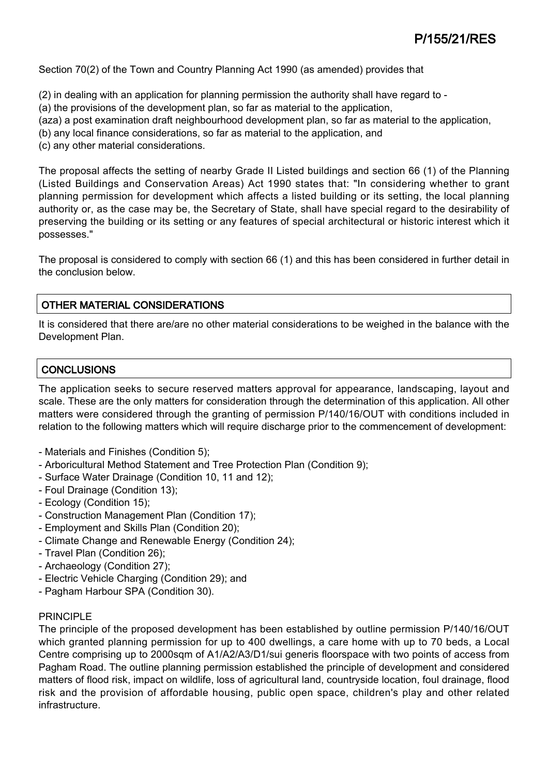Section 70(2) of the Town and Country Planning Act 1990 (as amended) provides that

- (2) in dealing with an application for planning permission the authority shall have regard to -
- (a) the provisions of the development plan, so far as material to the application,
- (aza) a post examination draft neighbourhood development plan, so far as material to the application,
- (b) any local finance considerations, so far as material to the application, and
- (c) any other material considerations.

The proposal affects the setting of nearby Grade II Listed buildings and section 66 (1) of the Planning (Listed Buildings and Conservation Areas) Act 1990 states that: "In considering whether to grant planning permission for development which affects a listed building or its setting, the local planning authority or, as the case may be, the Secretary of State, shall have special regard to the desirability of preserving the building or its setting or any features of special architectural or historic interest which it possesses."

The proposal is considered to comply with section 66 (1) and this has been considered in further detail in the conclusion below.

## OTHER MATERIAL CONSIDERATIONS

It is considered that there are/are no other material considerations to be weighed in the balance with the Development Plan.

## **CONCLUSIONS**

The application seeks to secure reserved matters approval for appearance, landscaping, layout and scale. These are the only matters for consideration through the determination of this application. All other matters were considered through the granting of permission P/140/16/OUT with conditions included in relation to the following matters which will require discharge prior to the commencement of development:

- Materials and Finishes (Condition 5);
- Arboricultural Method Statement and Tree Protection Plan (Condition 9);
- Surface Water Drainage (Condition 10, 11 and 12);
- Foul Drainage (Condition 13);
- Ecology (Condition 15);
- Construction Management Plan (Condition 17);
- Employment and Skills Plan (Condition 20);
- Climate Change and Renewable Energy (Condition 24);
- Travel Plan (Condition 26);
- Archaeology (Condition 27);
- Electric Vehicle Charging (Condition 29); and
- Pagham Harbour SPA (Condition 30).

### PRINCIPLE

The principle of the proposed development has been established by outline permission P/140/16/OUT which granted planning permission for up to 400 dwellings, a care home with up to 70 beds, a Local Centre comprising up to 2000sqm of A1/A2/A3/D1/sui generis floorspace with two points of access from Pagham Road. The outline planning permission established the principle of development and considered matters of flood risk, impact on wildlife, loss of agricultural land, countryside location, foul drainage, flood risk and the provision of affordable housing, public open space, children's play and other related infrastructure.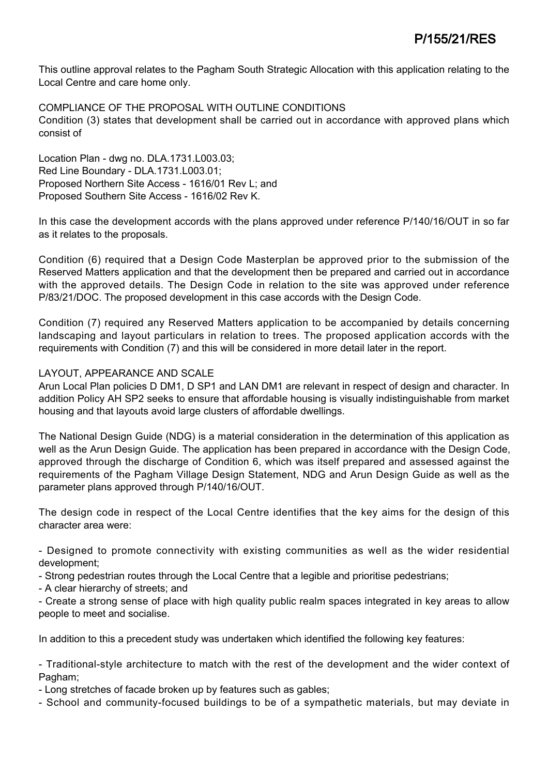This outline approval relates to the Pagham South Strategic Allocation with this application relating to the Local Centre and care home only.

COMPLIANCE OF THE PROPOSAL WITH OUTLINE CONDITIONS Condition (3) states that development shall be carried out in accordance with approved plans which consist of

Location Plan - dwg no. DLA.1731.L003.03; Red Line Boundary - DLA.1731.L003.01; Proposed Northern Site Access - 1616/01 Rev L; and Proposed Southern Site Access - 1616/02 Rev K.

In this case the development accords with the plans approved under reference P/140/16/OUT in so far as it relates to the proposals.

Condition (6) required that a Design Code Masterplan be approved prior to the submission of the Reserved Matters application and that the development then be prepared and carried out in accordance with the approved details. The Design Code in relation to the site was approved under reference P/83/21/DOC. The proposed development in this case accords with the Design Code.

Condition (7) required any Reserved Matters application to be accompanied by details concerning landscaping and layout particulars in relation to trees. The proposed application accords with the requirements with Condition (7) and this will be considered in more detail later in the report.

### LAYOUT, APPEARANCE AND SCALE

Arun Local Plan policies D DM1, D SP1 and LAN DM1 are relevant in respect of design and character. In addition Policy AH SP2 seeks to ensure that affordable housing is visually indistinguishable from market housing and that layouts avoid large clusters of affordable dwellings.

The National Design Guide (NDG) is a material consideration in the determination of this application as well as the Arun Design Guide. The application has been prepared in accordance with the Design Code, approved through the discharge of Condition 6, which was itself prepared and assessed against the requirements of the Pagham Village Design Statement, NDG and Arun Design Guide as well as the parameter plans approved through P/140/16/OUT.

The design code in respect of the Local Centre identifies that the key aims for the design of this character area were:

- Designed to promote connectivity with existing communities as well as the wider residential development;

- Strong pedestrian routes through the Local Centre that a legible and prioritise pedestrians;

- A clear hierarchy of streets; and

- Create a strong sense of place with high quality public realm spaces integrated in key areas to allow people to meet and socialise.

In addition to this a precedent study was undertaken which identified the following key features:

- Traditional-style architecture to match with the rest of the development and the wider context of Pagham:

- Long stretches of facade broken up by features such as gables;

- School and community-focused buildings to be of a sympathetic materials, but may deviate in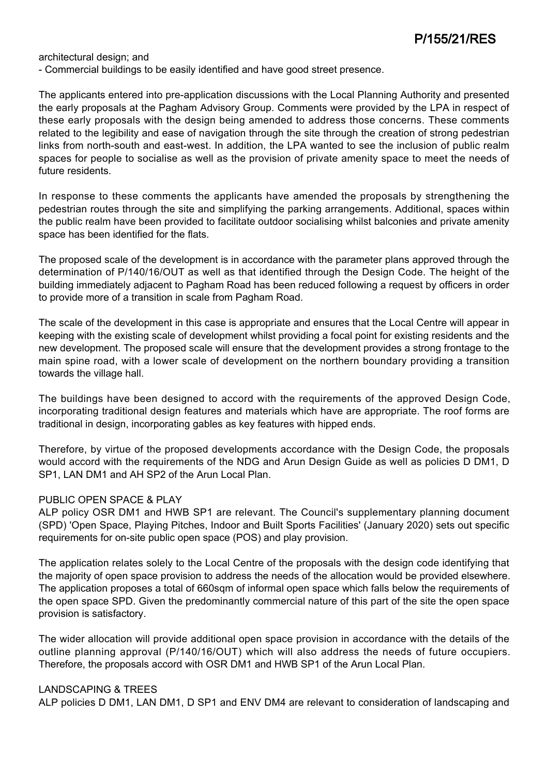architectural design; and

- Commercial buildings to be easily identified and have good street presence.

The applicants entered into pre-application discussions with the Local Planning Authority and presented the early proposals at the Pagham Advisory Group. Comments were provided by the LPA in respect of these early proposals with the design being amended to address those concerns. These comments related to the legibility and ease of navigation through the site through the creation of strong pedestrian links from north-south and east-west. In addition, the LPA wanted to see the inclusion of public realm spaces for people to socialise as well as the provision of private amenity space to meet the needs of future residents.

In response to these comments the applicants have amended the proposals by strengthening the pedestrian routes through the site and simplifying the parking arrangements. Additional, spaces within the public realm have been provided to facilitate outdoor socialising whilst balconies and private amenity space has been identified for the flats.

The proposed scale of the development is in accordance with the parameter plans approved through the determination of P/140/16/OUT as well as that identified through the Design Code. The height of the building immediately adjacent to Pagham Road has been reduced following a request by officers in order to provide more of a transition in scale from Pagham Road.

The scale of the development in this case is appropriate and ensures that the Local Centre will appear in keeping with the existing scale of development whilst providing a focal point for existing residents and the new development. The proposed scale will ensure that the development provides a strong frontage to the main spine road, with a lower scale of development on the northern boundary providing a transition towards the village hall.

The buildings have been designed to accord with the requirements of the approved Design Code, incorporating traditional design features and materials which have are appropriate. The roof forms are traditional in design, incorporating gables as key features with hipped ends.

Therefore, by virtue of the proposed developments accordance with the Design Code, the proposals would accord with the requirements of the NDG and Arun Design Guide as well as policies D DM1, D SP1, LAN DM1 and AH SP2 of the Arun Local Plan.

### PUBLIC OPEN SPACE & PLAY

ALP policy OSR DM1 and HWB SP1 are relevant. The Council's supplementary planning document (SPD) 'Open Space, Playing Pitches, Indoor and Built Sports Facilities' (January 2020) sets out specific requirements for on-site public open space (POS) and play provision.

The application relates solely to the Local Centre of the proposals with the design code identifying that the majority of open space provision to address the needs of the allocation would be provided elsewhere. The application proposes a total of 660sqm of informal open space which falls below the requirements of the open space SPD. Given the predominantly commercial nature of this part of the site the open space provision is satisfactory.

The wider allocation will provide additional open space provision in accordance with the details of the outline planning approval (P/140/16/OUT) which will also address the needs of future occupiers. Therefore, the proposals accord with OSR DM1 and HWB SP1 of the Arun Local Plan.

### LANDSCAPING & TREES

ALP policies D DM1, LAN DM1, D SP1 and ENV DM4 are relevant to consideration of landscaping and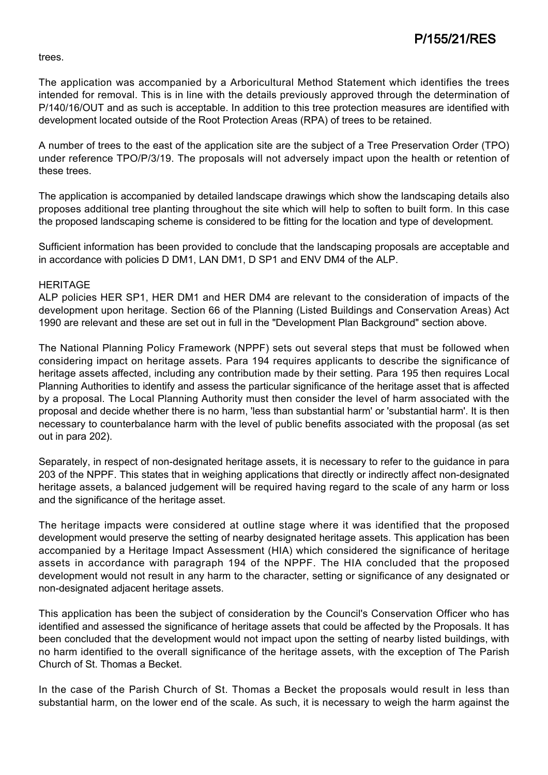trees.

The application was accompanied by a Arboricultural Method Statement which identifies the trees intended for removal. This is in line with the details previously approved through the determination of P/140/16/OUT and as such is acceptable. In addition to this tree protection measures are identified with development located outside of the Root Protection Areas (RPA) of trees to be retained.

A number of trees to the east of the application site are the subject of a Tree Preservation Order (TPO) under reference TPO/P/3/19. The proposals will not adversely impact upon the health or retention of these trees.

The application is accompanied by detailed landscape drawings which show the landscaping details also proposes additional tree planting throughout the site which will help to soften to built form. In this case the proposed landscaping scheme is considered to be fitting for the location and type of development.

Sufficient information has been provided to conclude that the landscaping proposals are acceptable and in accordance with policies D DM1, LAN DM1, D SP1 and ENV DM4 of the ALP.

### **HERITAGE**

ALP policies HER SP1, HER DM1 and HER DM4 are relevant to the consideration of impacts of the development upon heritage. Section 66 of the Planning (Listed Buildings and Conservation Areas) Act 1990 are relevant and these are set out in full in the "Development Plan Background" section above.

The National Planning Policy Framework (NPPF) sets out several steps that must be followed when considering impact on heritage assets. Para 194 requires applicants to describe the significance of heritage assets affected, including any contribution made by their setting. Para 195 then requires Local Planning Authorities to identify and assess the particular significance of the heritage asset that is affected by a proposal. The Local Planning Authority must then consider the level of harm associated with the proposal and decide whether there is no harm, 'less than substantial harm' or 'substantial harm'. It is then necessary to counterbalance harm with the level of public benefits associated with the proposal (as set out in para 202).

Separately, in respect of non-designated heritage assets, it is necessary to refer to the guidance in para 203 of the NPPF. This states that in weighing applications that directly or indirectly affect non-designated heritage assets, a balanced judgement will be required having regard to the scale of any harm or loss and the significance of the heritage asset.

The heritage impacts were considered at outline stage where it was identified that the proposed development would preserve the setting of nearby designated heritage assets. This application has been accompanied by a Heritage Impact Assessment (HIA) which considered the significance of heritage assets in accordance with paragraph 194 of the NPPF. The HIA concluded that the proposed development would not result in any harm to the character, setting or significance of any designated or non-designated adjacent heritage assets.

This application has been the subject of consideration by the Council's Conservation Officer who has identified and assessed the significance of heritage assets that could be affected by the Proposals. It has been concluded that the development would not impact upon the setting of nearby listed buildings, with no harm identified to the overall significance of the heritage assets, with the exception of The Parish Church of St. Thomas a Becket.

In the case of the Parish Church of St. Thomas a Becket the proposals would result in less than substantial harm, on the lower end of the scale. As such, it is necessary to weigh the harm against the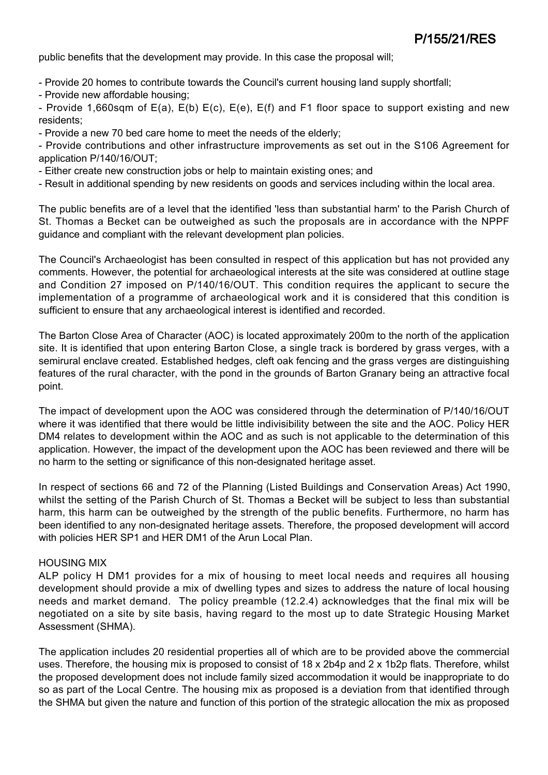public benefits that the development may provide. In this case the proposal will;

- Provide 20 homes to contribute towards the Council's current housing land supply shortfall;
- Provide new affordable housing;

- Provide 1,660sqm of E(a), E(b) E(c), E(e), E(f) and F1 floor space to support existing and new residents;

- Provide a new 70 bed care home to meet the needs of the elderly;

- Provide contributions and other infrastructure improvements as set out in the S106 Agreement for application P/140/16/OUT;

- Either create new construction jobs or help to maintain existing ones; and

- Result in additional spending by new residents on goods and services including within the local area.

The public benefits are of a level that the identified 'less than substantial harm' to the Parish Church of St. Thomas a Becket can be outweighed as such the proposals are in accordance with the NPPF guidance and compliant with the relevant development plan policies.

The Council's Archaeologist has been consulted in respect of this application but has not provided any comments. However, the potential for archaeological interests at the site was considered at outline stage and Condition 27 imposed on P/140/16/OUT. This condition requires the applicant to secure the implementation of a programme of archaeological work and it is considered that this condition is sufficient to ensure that any archaeological interest is identified and recorded.

The Barton Close Area of Character (AOC) is located approximately 200m to the north of the application site. It is identified that upon entering Barton Close, a single track is bordered by grass verges, with a semirural enclave created. Established hedges, cleft oak fencing and the grass verges are distinguishing features of the rural character, with the pond in the grounds of Barton Granary being an attractive focal point.

The impact of development upon the AOC was considered through the determination of P/140/16/OUT where it was identified that there would be little indivisibility between the site and the AOC. Policy HER DM4 relates to development within the AOC and as such is not applicable to the determination of this application. However, the impact of the development upon the AOC has been reviewed and there will be no harm to the setting or significance of this non-designated heritage asset.

In respect of sections 66 and 72 of the Planning (Listed Buildings and Conservation Areas) Act 1990, whilst the setting of the Parish Church of St. Thomas a Becket will be subject to less than substantial harm, this harm can be outweighed by the strength of the public benefits. Furthermore, no harm has been identified to any non-designated heritage assets. Therefore, the proposed development will accord with policies HER SP1 and HER DM1 of the Arun Local Plan.

### HOUSING MIX

ALP policy H DM1 provides for a mix of housing to meet local needs and requires all housing development should provide a mix of dwelling types and sizes to address the nature of local housing needs and market demand. The policy preamble (12.2.4) acknowledges that the final mix will be negotiated on a site by site basis, having regard to the most up to date Strategic Housing Market Assessment (SHMA).

The application includes 20 residential properties all of which are to be provided above the commercial uses. Therefore, the housing mix is proposed to consist of 18 x 2b4p and 2 x 1b2p flats. Therefore, whilst the proposed development does not include family sized accommodation it would be inappropriate to do so as part of the Local Centre. The housing mix as proposed is a deviation from that identified through the SHMA but given the nature and function of this portion of the strategic allocation the mix as proposed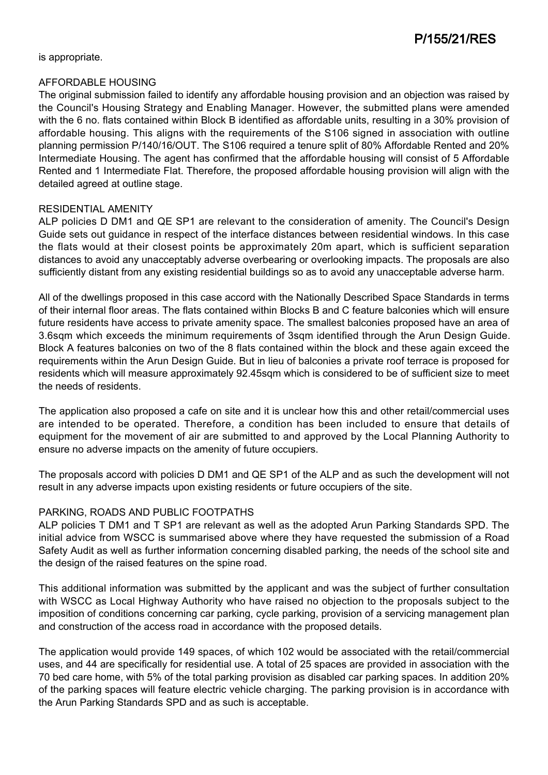is appropriate.

### AFFORDABLE HOUSING

The original submission failed to identify any affordable housing provision and an objection was raised by the Council's Housing Strategy and Enabling Manager. However, the submitted plans were amended with the 6 no. flats contained within Block B identified as affordable units, resulting in a 30% provision of affordable housing. This aligns with the requirements of the S106 signed in association with outline planning permission P/140/16/OUT. The S106 required a tenure split of 80% Affordable Rented and 20% Intermediate Housing. The agent has confirmed that the affordable housing will consist of 5 Affordable Rented and 1 Intermediate Flat. Therefore, the proposed affordable housing provision will align with the detailed agreed at outline stage.

### RESIDENTIAL AMENITY

ALP policies D DM1 and QE SP1 are relevant to the consideration of amenity. The Council's Design Guide sets out guidance in respect of the interface distances between residential windows. In this case the flats would at their closest points be approximately 20m apart, which is sufficient separation distances to avoid any unacceptably adverse overbearing or overlooking impacts. The proposals are also sufficiently distant from any existing residential buildings so as to avoid any unacceptable adverse harm.

All of the dwellings proposed in this case accord with the Nationally Described Space Standards in terms of their internal floor areas. The flats contained within Blocks B and C feature balconies which will ensure future residents have access to private amenity space. The smallest balconies proposed have an area of 3.6sqm which exceeds the minimum requirements of 3sqm identified through the Arun Design Guide. Block A features balconies on two of the 8 flats contained within the block and these again exceed the requirements within the Arun Design Guide. But in lieu of balconies a private roof terrace is proposed for residents which will measure approximately 92.45sqm which is considered to be of sufficient size to meet the needs of residents.

The application also proposed a cafe on site and it is unclear how this and other retail/commercial uses are intended to be operated. Therefore, a condition has been included to ensure that details of equipment for the movement of air are submitted to and approved by the Local Planning Authority to ensure no adverse impacts on the amenity of future occupiers.

The proposals accord with policies D DM1 and QE SP1 of the ALP and as such the development will not result in any adverse impacts upon existing residents or future occupiers of the site.

## PARKING, ROADS AND PUBLIC FOOTPATHS

ALP policies T DM1 and T SP1 are relevant as well as the adopted Arun Parking Standards SPD. The initial advice from WSCC is summarised above where they have requested the submission of a Road Safety Audit as well as further information concerning disabled parking, the needs of the school site and the design of the raised features on the spine road.

This additional information was submitted by the applicant and was the subject of further consultation with WSCC as Local Highway Authority who have raised no objection to the proposals subject to the imposition of conditions concerning car parking, cycle parking, provision of a servicing management plan and construction of the access road in accordance with the proposed details.

The application would provide 149 spaces, of which 102 would be associated with the retail/commercial uses, and 44 are specifically for residential use. A total of 25 spaces are provided in association with the 70 bed care home, with 5% of the total parking provision as disabled car parking spaces. In addition 20% of the parking spaces will feature electric vehicle charging. The parking provision is in accordance with the Arun Parking Standards SPD and as such is acceptable.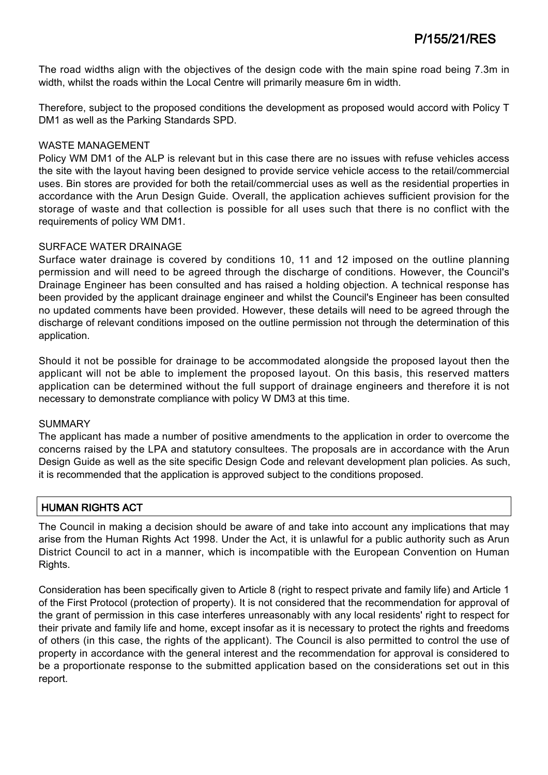The road widths align with the objectives of the design code with the main spine road being 7.3m in width, whilst the roads within the Local Centre will primarily measure 6m in width.

Therefore, subject to the proposed conditions the development as proposed would accord with Policy T DM1 as well as the Parking Standards SPD.

### WASTE MANAGEMENT

Policy WM DM1 of the ALP is relevant but in this case there are no issues with refuse vehicles access the site with the layout having been designed to provide service vehicle access to the retail/commercial uses. Bin stores are provided for both the retail/commercial uses as well as the residential properties in accordance with the Arun Design Guide. Overall, the application achieves sufficient provision for the storage of waste and that collection is possible for all uses such that there is no conflict with the requirements of policy WM DM1.

### SURFACE WATER DRAINAGE

Surface water drainage is covered by conditions 10, 11 and 12 imposed on the outline planning permission and will need to be agreed through the discharge of conditions. However, the Council's Drainage Engineer has been consulted and has raised a holding objection. A technical response has been provided by the applicant drainage engineer and whilst the Council's Engineer has been consulted no updated comments have been provided. However, these details will need to be agreed through the discharge of relevant conditions imposed on the outline permission not through the determination of this application.

Should it not be possible for drainage to be accommodated alongside the proposed layout then the applicant will not be able to implement the proposed layout. On this basis, this reserved matters application can be determined without the full support of drainage engineers and therefore it is not necessary to demonstrate compliance with policy W DM3 at this time.

### SUMMARY

The applicant has made a number of positive amendments to the application in order to overcome the concerns raised by the LPA and statutory consultees. The proposals are in accordance with the Arun Design Guide as well as the site specific Design Code and relevant development plan policies. As such, it is recommended that the application is approved subject to the conditions proposed.

## HUMAN RIGHTS ACT

The Council in making a decision should be aware of and take into account any implications that may arise from the Human Rights Act 1998. Under the Act, it is unlawful for a public authority such as Arun District Council to act in a manner, which is incompatible with the European Convention on Human Rights.

Consideration has been specifically given to Article 8 (right to respect private and family life) and Article 1 of the First Protocol (protection of property). It is not considered that the recommendation for approval of the grant of permission in this case interferes unreasonably with any local residents' right to respect for their private and family life and home, except insofar as it is necessary to protect the rights and freedoms of others (in this case, the rights of the applicant). The Council is also permitted to control the use of property in accordance with the general interest and the recommendation for approval is considered to be a proportionate response to the submitted application based on the considerations set out in this report.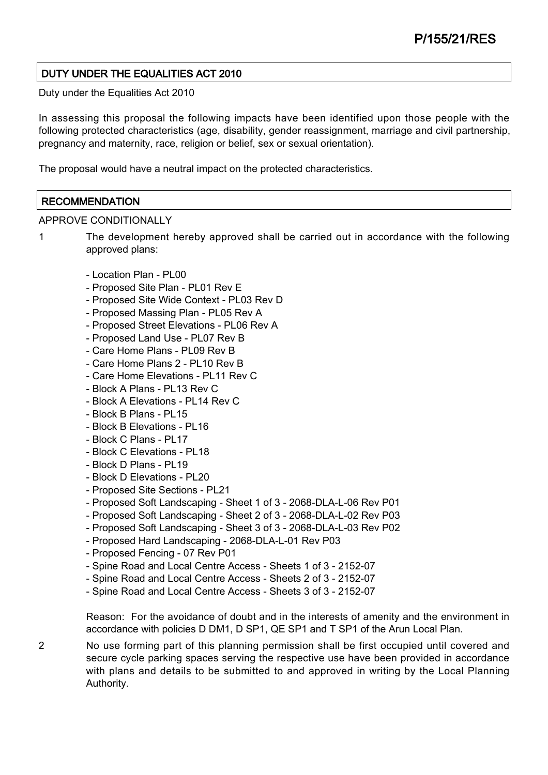## DUTY UNDER THE EQUALITIES ACT 2010

Duty under the Equalities Act 2010

In assessing this proposal the following impacts have been identified upon those people with the following protected characteristics (age, disability, gender reassignment, marriage and civil partnership, pregnancy and maternity, race, religion or belief, sex or sexual orientation).

The proposal would have a neutral impact on the protected characteristics.

### **RECOMMENDATION**

APPROVE CONDITIONALLY

1 The development hereby approved shall be carried out in accordance with the following approved plans:

- Location Plan PL00
- Proposed Site Plan PL01 Rev E
- Proposed Site Wide Context PL03 Rev D
- Proposed Massing Plan PL05 Rev A
- Proposed Street Elevations PL06 Rev A
- Proposed Land Use PL07 Rev B
- Care Home Plans PL09 Rev B
- Care Home Plans 2 PL10 Rev B
- Care Home Elevations PL11 Rev C
- Block A Plans PL13 Rev C
- Block A Elevations PL14 Rev C
- Block B Plans PL15
- Block B Elevations PL16
- Block C Plans PL17
- Block C Elevations PL18
- Block D Plans PL19
- Block D Elevations PL20
- Proposed Site Sections PL21
- Proposed Soft Landscaping Sheet 1 of 3 2068-DLA-L-06 Rev P01
- Proposed Soft Landscaping Sheet 2 of 3 2068-DLA-L-02 Rev P03
- Proposed Soft Landscaping Sheet 3 of 3 2068-DLA-L-03 Rev P02
- Proposed Hard Landscaping 2068-DLA-L-01 Rev P03
- Proposed Fencing 07 Rev P01
- Spine Road and Local Centre Access Sheets 1 of 3 2152-07
- Spine Road and Local Centre Access Sheets 2 of 3 2152-07
- Spine Road and Local Centre Access Sheets 3 of 3 2152-07

Reason: For the avoidance of doubt and in the interests of amenity and the environment in accordance with policies D DM1, D SP1, QE SP1 and T SP1 of the Arun Local Plan.

2 No use forming part of this planning permission shall be first occupied until covered and secure cycle parking spaces serving the respective use have been provided in accordance with plans and details to be submitted to and approved in writing by the Local Planning Authority.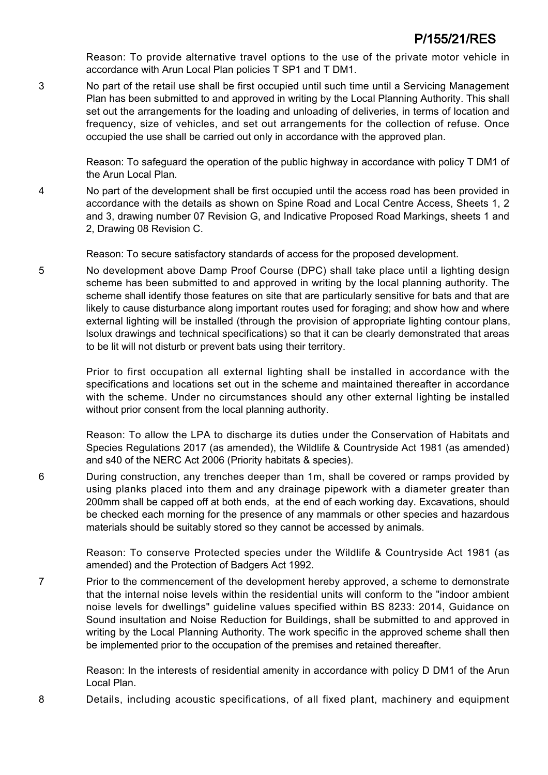Reason: To provide alternative travel options to the use of the private motor vehicle in accordance with Arun Local Plan policies T SP1 and T DM1.

3 No part of the retail use shall be first occupied until such time until a Servicing Management Plan has been submitted to and approved in writing by the Local Planning Authority. This shall set out the arrangements for the loading and unloading of deliveries, in terms of location and frequency, size of vehicles, and set out arrangements for the collection of refuse. Once occupied the use shall be carried out only in accordance with the approved plan.

> Reason: To safeguard the operation of the public highway in accordance with policy T DM1 of the Arun Local Plan.

4 No part of the development shall be first occupied until the access road has been provided in accordance with the details as shown on Spine Road and Local Centre Access, Sheets 1, 2 and 3, drawing number 07 Revision G, and Indicative Proposed Road Markings, sheets 1 and 2, Drawing 08 Revision C.

Reason: To secure satisfactory standards of access for the proposed development.

5 No development above Damp Proof Course (DPC) shall take place until a lighting design scheme has been submitted to and approved in writing by the local planning authority. The scheme shall identify those features on site that are particularly sensitive for bats and that are likely to cause disturbance along important routes used for foraging; and show how and where external lighting will be installed (through the provision of appropriate lighting contour plans, lsolux drawings and technical specifications) so that it can be clearly demonstrated that areas to be lit will not disturb or prevent bats using their territory.

> Prior to first occupation all external lighting shall be installed in accordance with the specifications and locations set out in the scheme and maintained thereafter in accordance with the scheme. Under no circumstances should any other external lighting be installed without prior consent from the local planning authority.

> Reason: To allow the LPA to discharge its duties under the Conservation of Habitats and Species Regulations 2017 (as amended), the Wildlife & Countryside Act 1981 (as amended) and s40 of the NERC Act 2006 (Priority habitats & species).

6 During construction, any trenches deeper than 1m, shall be covered or ramps provided by using planks placed into them and any drainage pipework with a diameter greater than 200mm shall be capped off at both ends, at the end of each working day. Excavations, should be checked each morning for the presence of any mammals or other species and hazardous materials should be suitably stored so they cannot be accessed by animals.

> Reason: To conserve Protected species under the Wildlife & Countryside Act 1981 (as amended) and the Protection of Badgers Act 1992.

7 Prior to the commencement of the development hereby approved, a scheme to demonstrate that the internal noise levels within the residential units will conform to the "indoor ambient noise levels for dwellings" guideline values specified within BS 8233: 2014, Guidance on Sound insultation and Noise Reduction for Buildings, shall be submitted to and approved in writing by the Local Planning Authority. The work specific in the approved scheme shall then be implemented prior to the occupation of the premises and retained thereafter.

Reason: In the interests of residential amenity in accordance with policy D DM1 of the Arun Local Plan.

8 Details, including acoustic specifications, of all fixed plant, machinery and equipment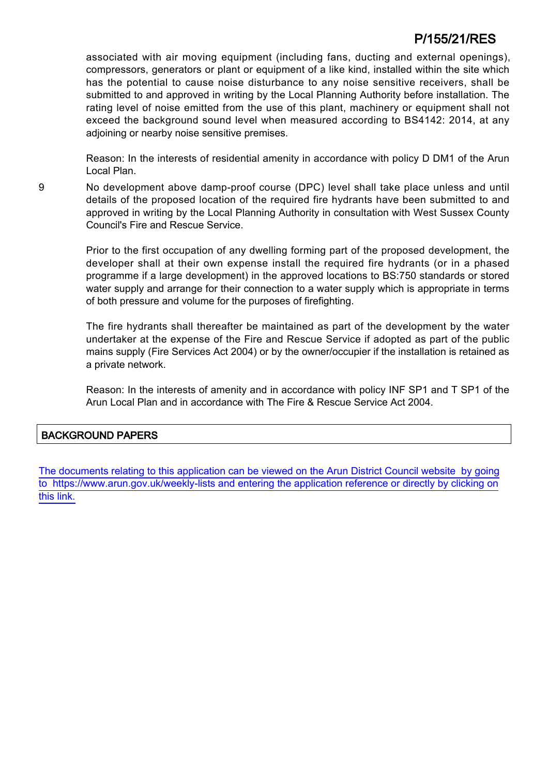# P/155/21/RES

associated with air moving equipment (including fans, ducting and external openings), compressors, generators or plant or equipment of a like kind, installed within the site which has the potential to cause noise disturbance to any noise sensitive receivers, shall be submitted to and approved in writing by the Local Planning Authority before installation. The rating level of noise emitted from the use of this plant, machinery or equipment shall not exceed the background sound level when measured according to BS4142: 2014, at any adjoining or nearby noise sensitive premises.

Reason: In the interests of residential amenity in accordance with policy D DM1 of the Arun Local Plan.

9 No development above damp-proof course (DPC) level shall take place unless and until details of the proposed location of the required fire hydrants have been submitted to and approved in writing by the Local Planning Authority in consultation with West Sussex County Council's Fire and Rescue Service.

> Prior to the first occupation of any dwelling forming part of the proposed development, the developer shall at their own expense install the required fire hydrants (or in a phased programme if a large development) in the approved locations to BS:750 standards or stored water supply and arrange for their connection to a water supply which is appropriate in terms of both pressure and volume for the purposes of firefighting.

> The fire hydrants shall thereafter be maintained as part of the development by the water undertaker at the expense of the Fire and Rescue Service if adopted as part of the public mains supply (Fire Services Act 2004) or by the owner/occupier if the installation is retained as a private network.

> Reason: In the interests of amenity and in accordance with policy INF SP1 and T SP1 of the Arun Local Plan and in accordance with The Fire & Rescue Service Act 2004.

### BACKGROUND PAPERS

[The documents relating to this application can be viewed on the Arun District Council website by going](http://www1.arun.gov.uk/planrec/index.cfm?tpkey=eOcella&user_key_1=P/155/21/RES&keyscheme=planning) [to https://www.arun.gov.uk/weekly-lists and entering the application reference or directly by clicking on](http://www1.arun.gov.uk/planrec/index.cfm?tpkey=eOcella&user_key_1=P/155/21/RES&keyscheme=planning) [this link.](http://www1.arun.gov.uk/planrec/index.cfm?tpkey=eOcella&user_key_1=P/155/21/RES&keyscheme=planning)